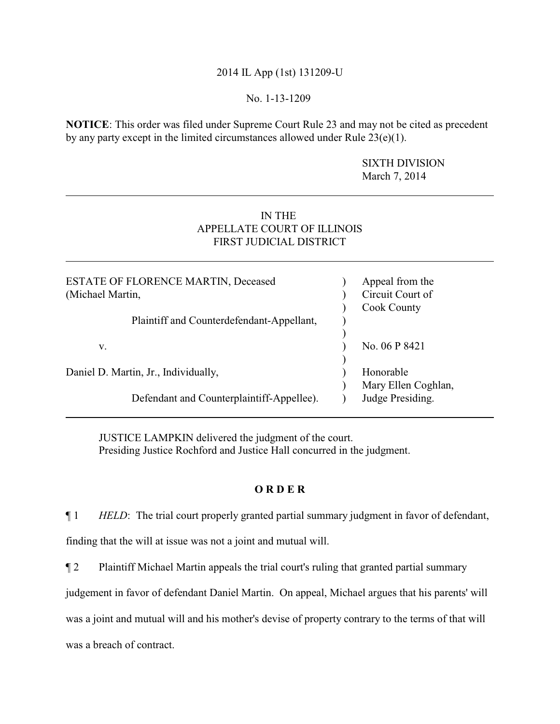# 2014 IL App (1st) 131209-U

### No. 1-13-1209

**NOTICE**: This order was filed under Supreme Court Rule 23 and may not be cited as precedent by any party except in the limited circumstances allowed under Rule  $23(e)(1)$ .

> SIXTH DIVISION March 7, 2014

# IN THE APPELLATE COURT OF ILLINOIS FIRST JUDICIAL DISTRICT

| <b>ESTATE OF FLORENCE MARTIN, Deceased</b><br>(Michael Martin, | Appeal from the<br>Circuit Court of<br><b>Cook County</b> |
|----------------------------------------------------------------|-----------------------------------------------------------|
| Plaintiff and Counterdefendant-Appellant,                      |                                                           |
| v.                                                             | No. 06 P 8421                                             |
| Daniel D. Martin, Jr., Individually,                           | Honorable<br>Mary Ellen Coghlan,                          |
| Defendant and Counterplaintiff-Appellee).                      | Judge Presiding.                                          |

JUSTICE LAMPKIN delivered the judgment of the court. Presiding Justice Rochford and Justice Hall concurred in the judgment.

### **O R D E R**

¶ 1 *HELD*: The trial court properly granted partial summary judgment in favor of defendant,

finding that the will at issue was not a joint and mutual will.

¶ 2 Plaintiff Michael Martin appeals the trial court's ruling that granted partial summary

judgement in favor of defendant Daniel Martin. On appeal, Michael argues that his parents' will

was a joint and mutual will and his mother's devise of property contrary to the terms of that will

was a breach of contract.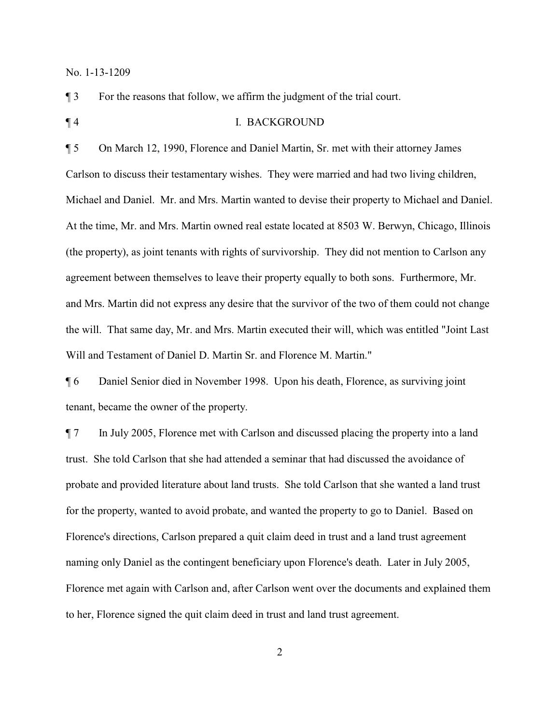¶ 3 For the reasons that follow, we affirm the judgment of the trial court.

¶ 4 I. BACKGROUND

¶ 5 On March 12, 1990, Florence and Daniel Martin, Sr. met with their attorney James Carlson to discuss their testamentary wishes. They were married and had two living children, Michael and Daniel. Mr. and Mrs. Martin wanted to devise their property to Michael and Daniel. At the time, Mr. and Mrs. Martin owned real estate located at 8503 W. Berwyn, Chicago, Illinois (the property), as joint tenants with rights of survivorship. They did not mention to Carlson any agreement between themselves to leave their property equally to both sons. Furthermore, Mr. and Mrs. Martin did not express any desire that the survivor of the two of them could not change the will. That same day, Mr. and Mrs. Martin executed their will, which was entitled "Joint Last Will and Testament of Daniel D. Martin Sr. and Florence M. Martin."

¶ 6 Daniel Senior died in November 1998. Upon his death, Florence, as surviving joint tenant, became the owner of the property.

¶ 7 In July 2005, Florence met with Carlson and discussed placing the property into a land trust. She told Carlson that she had attended a seminar that had discussed the avoidance of probate and provided literature about land trusts. She told Carlson that she wanted a land trust for the property, wanted to avoid probate, and wanted the property to go to Daniel. Based on Florence's directions, Carlson prepared a quit claim deed in trust and a land trust agreement naming only Daniel as the contingent beneficiary upon Florence's death. Later in July 2005, Florence met again with Carlson and, after Carlson went over the documents and explained them to her, Florence signed the quit claim deed in trust and land trust agreement.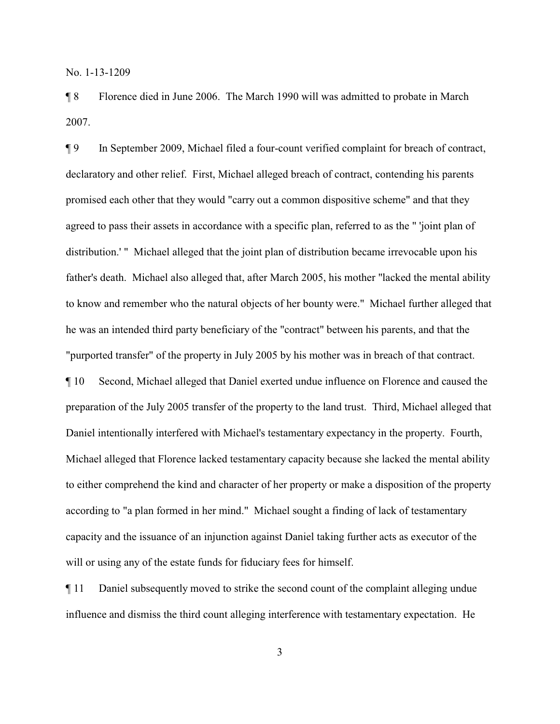¶ 8 Florence died in June 2006. The March 1990 will was admitted to probate in March 2007.

¶ 9 In September 2009, Michael filed a four-count verified complaint for breach of contract, declaratory and other relief. First, Michael alleged breach of contract, contending his parents promised each other that they would "carry out a common dispositive scheme" and that they agreed to pass their assets in accordance with a specific plan, referred to as the " 'joint plan of distribution.' " Michael alleged that the joint plan of distribution became irrevocable upon his father's death. Michael also alleged that, after March 2005, his mother "lacked the mental ability to know and remember who the natural objects of her bounty were." Michael further alleged that he was an intended third party beneficiary of the "contract" between his parents, and that the "purported transfer" of the property in July 2005 by his mother was in breach of that contract. ¶ 10 Second, Michael alleged that Daniel exerted undue influence on Florence and caused the preparation of the July 2005 transfer of the property to the land trust. Third, Michael alleged that Daniel intentionally interfered with Michael's testamentary expectancy in the property. Fourth,

Michael alleged that Florence lacked testamentary capacity because she lacked the mental ability to either comprehend the kind and character of her property or make a disposition of the property according to "a plan formed in her mind." Michael sought a finding of lack of testamentary capacity and the issuance of an injunction against Daniel taking further acts as executor of the will or using any of the estate funds for fiduciary fees for himself.

¶ 11 Daniel subsequently moved to strike the second count of the complaint alleging undue influence and dismiss the third count alleging interference with testamentary expectation. He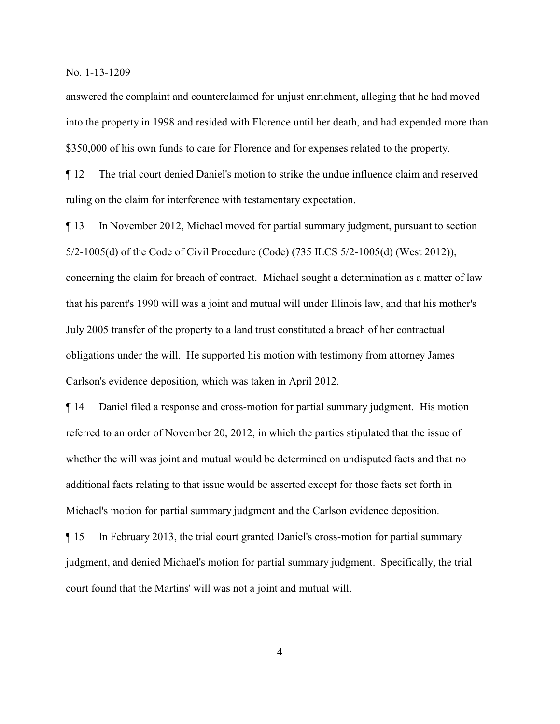answered the complaint and counterclaimed for unjust enrichment, alleging that he had moved into the property in 1998 and resided with Florence until her death, and had expended more than \$350,000 of his own funds to care for Florence and for expenses related to the property.

¶ 12 The trial court denied Daniel's motion to strike the undue influence claim and reserved ruling on the claim for interference with testamentary expectation.

¶ 13 In November 2012, Michael moved for partial summary judgment, pursuant to section 5/2-1005(d) of the Code of Civil Procedure (Code) (735 ILCS 5/2-1005(d) (West 2012)), concerning the claim for breach of contract. Michael sought a determination as a matter of law that his parent's 1990 will was a joint and mutual will under Illinois law, and that his mother's July 2005 transfer of the property to a land trust constituted a breach of her contractual obligations under the will. He supported his motion with testimony from attorney James Carlson's evidence deposition, which was taken in April 2012.

¶ 14 Daniel filed a response and cross-motion for partial summary judgment. His motion referred to an order of November 20, 2012, in which the parties stipulated that the issue of whether the will was joint and mutual would be determined on undisputed facts and that no additional facts relating to that issue would be asserted except for those facts set forth in Michael's motion for partial summary judgment and the Carlson evidence deposition.

¶ 15 In February 2013, the trial court granted Daniel's cross-motion for partial summary judgment, and denied Michael's motion for partial summary judgment. Specifically, the trial court found that the Martins' will was not a joint and mutual will.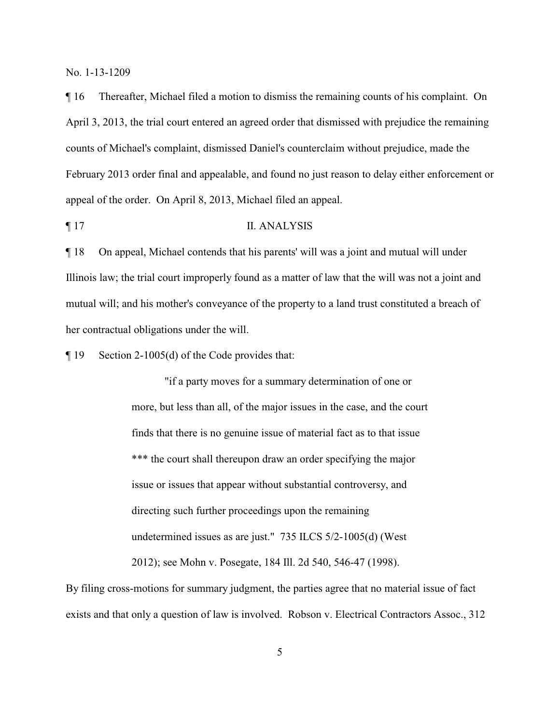¶ 16 Thereafter, Michael filed a motion to dismiss the remaining counts of his complaint. On April 3, 2013, the trial court entered an agreed order that dismissed with prejudice the remaining counts of Michael's complaint, dismissed Daniel's counterclaim without prejudice, made the February 2013 order final and appealable, and found no just reason to delay either enforcement or appeal of the order. On April 8, 2013, Michael filed an appeal.

### ¶ 17 II. ANALYSIS

¶ 18 On appeal, Michael contends that his parents' will was a joint and mutual will under Illinois law; the trial court improperly found as a matter of law that the will was not a joint and mutual will; and his mother's conveyance of the property to a land trust constituted a breach of her contractual obligations under the will.

¶ 19 Section 2-1005(d) of the Code provides that:

"if a party moves for a summary determination of one or more, but less than all, of the major issues in the case, and the court finds that there is no genuine issue of material fact as to that issue \*\*\* the court shall thereupon draw an order specifying the major issue or issues that appear without substantial controversy, and directing such further proceedings upon the remaining undetermined issues as are just." 735 ILCS 5/2-1005(d) (West 2012); see Mohn v. Posegate, 184 Ill. 2d 540, 546-47 (1998).

By filing cross-motions for summary judgment, the parties agree that no material issue of fact exists and that only a question of law is involved. Robson v. Electrical Contractors Assoc., 312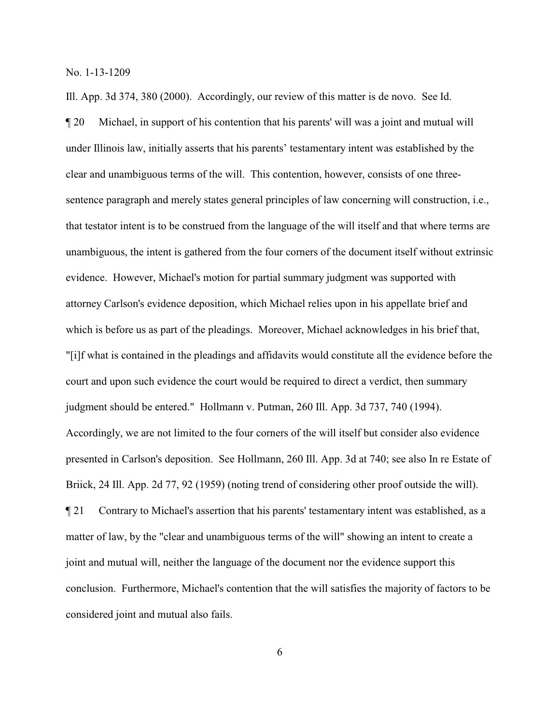Ill. App. 3d 374, 380 (2000). Accordingly, our review of this matter is de novo. See Id.

¶ 20 Michael, in support of his contention that his parents' will was a joint and mutual will under Illinois law, initially asserts that his parents' testamentary intent was established by the clear and unambiguous terms of the will. This contention, however, consists of one threesentence paragraph and merely states general principles of law concerning will construction, i.e., that testator intent is to be construed from the language of the will itself and that where terms are unambiguous, the intent is gathered from the four corners of the document itself without extrinsic evidence. However, Michael's motion for partial summary judgment was supported with attorney Carlson's evidence deposition, which Michael relies upon in his appellate brief and which is before us as part of the pleadings. Moreover, Michael acknowledges in his brief that, "[i]f what is contained in the pleadings and affidavits would constitute all the evidence before the court and upon such evidence the court would be required to direct a verdict, then summary judgment should be entered." Hollmann v. Putman, 260 Ill. App. 3d 737, 740 (1994). Accordingly, we are not limited to the four corners of the will itself but consider also evidence presented in Carlson's deposition. See Hollmann, 260 Ill. App. 3d at 740; see also In re Estate of Briick, 24 Ill. App. 2d 77, 92 (1959) (noting trend of considering other proof outside the will). ¶ 21 Contrary to Michael's assertion that his parents' testamentary intent was established, as a matter of law, by the "clear and unambiguous terms of the will" showing an intent to create a joint and mutual will, neither the language of the document nor the evidence support this conclusion. Furthermore, Michael's contention that the will satisfies the majority of factors to be considered joint and mutual also fails.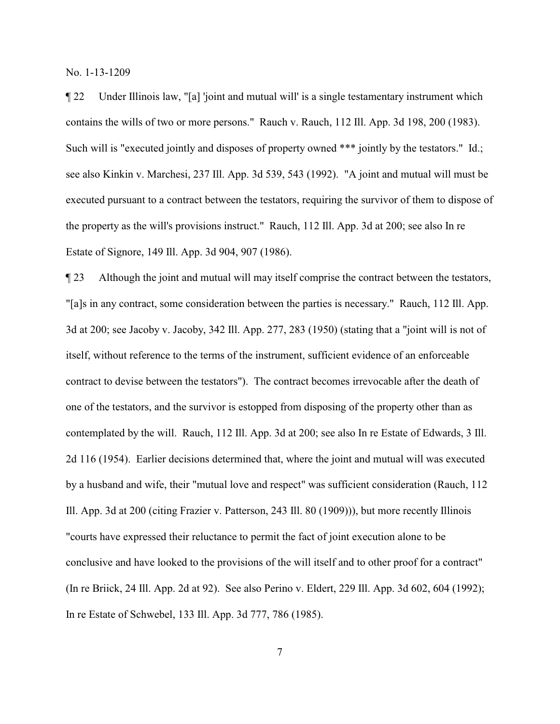¶ 22 Under Illinois law, "[a] 'joint and mutual will' is a single testamentary instrument which contains the wills of two or more persons." Rauch v. Rauch, 112 Ill. App. 3d 198, 200 (1983). Such will is "executed jointly and disposes of property owned \*\*\* jointly by the testators." Id.; see also Kinkin v. Marchesi, 237 Ill. App. 3d 539, 543 (1992). "A joint and mutual will must be executed pursuant to a contract between the testators, requiring the survivor of them to dispose of the property as the will's provisions instruct." Rauch, 112 Ill. App. 3d at 200; see also In re Estate of Signore, 149 Ill. App. 3d 904, 907 (1986).

¶ 23 Although the joint and mutual will may itself comprise the contract between the testators, "[a]s in any contract, some consideration between the parties is necessary." Rauch, 112 Ill. App. 3d at 200; see Jacoby v. Jacoby, 342 Ill. App. 277, 283 (1950) (stating that a "joint will is not of itself, without reference to the terms of the instrument, sufficient evidence of an enforceable contract to devise between the testators"). The contract becomes irrevocable after the death of one of the testators, and the survivor is estopped from disposing of the property other than as contemplated by the will. Rauch, 112 Ill. App. 3d at 200; see also In re Estate of Edwards, 3 Ill. 2d 116 (1954). Earlier decisions determined that, where the joint and mutual will was executed by a husband and wife, their "mutual love and respect" was sufficient consideration (Rauch, 112 Ill. App. 3d at 200 (citing Frazier v. Patterson, 243 Ill. 80 (1909))), but more recently Illinois "courts have expressed their reluctance to permit the fact of joint execution alone to be conclusive and have looked to the provisions of the will itself and to other proof for a contract" (In re Briick, 24 Ill. App. 2d at 92). See also Perino v. Eldert, 229 Ill. App. 3d 602, 604 (1992); In re Estate of Schwebel, 133 Ill. App. 3d 777, 786 (1985).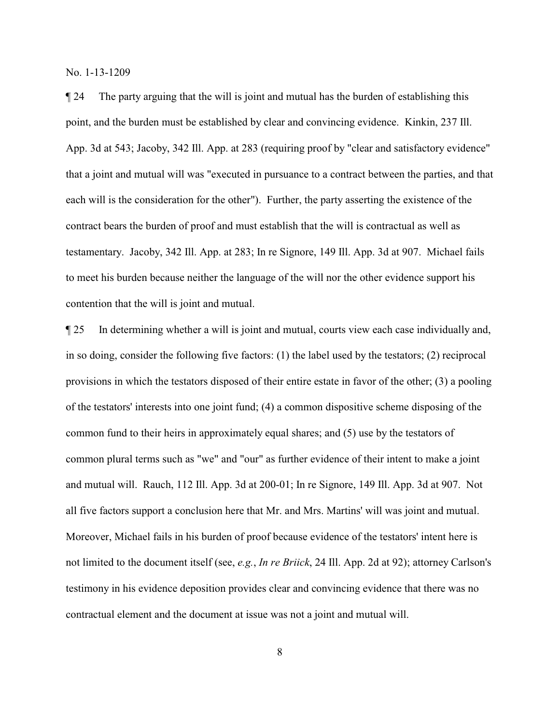¶ 24 The party arguing that the will is joint and mutual has the burden of establishing this point, and the burden must be established by clear and convincing evidence. Kinkin, 237 Ill. App. 3d at 543; Jacoby, 342 Ill. App. at 283 (requiring proof by "clear and satisfactory evidence" that a joint and mutual will was "executed in pursuance to a contract between the parties, and that each will is the consideration for the other"). Further, the party asserting the existence of the contract bears the burden of proof and must establish that the will is contractual as well as testamentary. Jacoby, 342 Ill. App. at 283; In re Signore, 149 Ill. App. 3d at 907. Michael fails to meet his burden because neither the language of the will nor the other evidence support his contention that the will is joint and mutual.

¶ 25 In determining whether a will is joint and mutual, courts view each case individually and, in so doing, consider the following five factors: (1) the label used by the testators; (2) reciprocal provisions in which the testators disposed of their entire estate in favor of the other; (3) a pooling of the testators' interests into one joint fund; (4) a common dispositive scheme disposing of the common fund to their heirs in approximately equal shares; and (5) use by the testators of common plural terms such as "we" and "our" as further evidence of their intent to make a joint and mutual will. Rauch, 112 Ill. App. 3d at 200-01; In re Signore, 149 Ill. App. 3d at 907. Not all five factors support a conclusion here that Mr. and Mrs. Martins' will was joint and mutual. Moreover, Michael fails in his burden of proof because evidence of the testators' intent here is not limited to the document itself (see, *e.g.*, *In re Briick*, 24 Ill. App. 2d at 92); attorney Carlson's testimony in his evidence deposition provides clear and convincing evidence that there was no contractual element and the document at issue was not a joint and mutual will.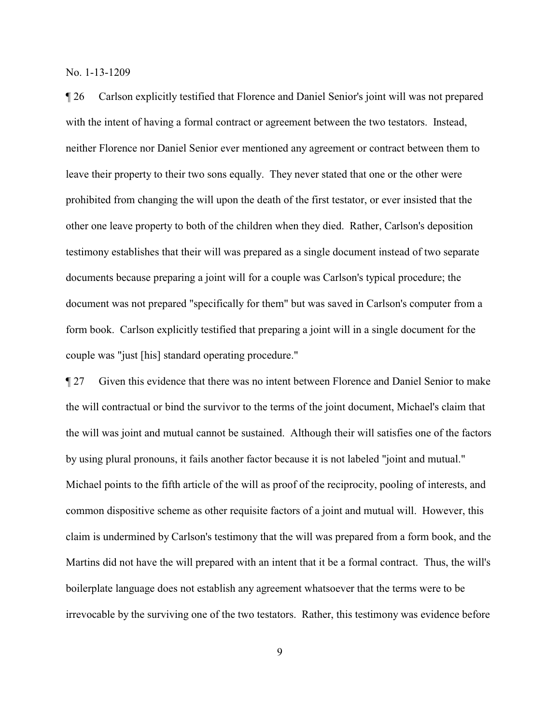¶ 26 Carlson explicitly testified that Florence and Daniel Senior's joint will was not prepared with the intent of having a formal contract or agreement between the two testators. Instead, neither Florence nor Daniel Senior ever mentioned any agreement or contract between them to leave their property to their two sons equally. They never stated that one or the other were prohibited from changing the will upon the death of the first testator, or ever insisted that the other one leave property to both of the children when they died. Rather, Carlson's deposition testimony establishes that their will was prepared as a single document instead of two separate documents because preparing a joint will for a couple was Carlson's typical procedure; the document was not prepared "specifically for them" but was saved in Carlson's computer from a form book. Carlson explicitly testified that preparing a joint will in a single document for the couple was "just [his] standard operating procedure."

¶ 27 Given this evidence that there was no intent between Florence and Daniel Senior to make the will contractual or bind the survivor to the terms of the joint document, Michael's claim that the will was joint and mutual cannot be sustained. Although their will satisfies one of the factors by using plural pronouns, it fails another factor because it is not labeled "joint and mutual." Michael points to the fifth article of the will as proof of the reciprocity, pooling of interests, and common dispositive scheme as other requisite factors of a joint and mutual will. However, this claim is undermined by Carlson's testimony that the will was prepared from a form book, and the Martins did not have the will prepared with an intent that it be a formal contract. Thus, the will's boilerplate language does not establish any agreement whatsoever that the terms were to be irrevocable by the surviving one of the two testators. Rather, this testimony was evidence before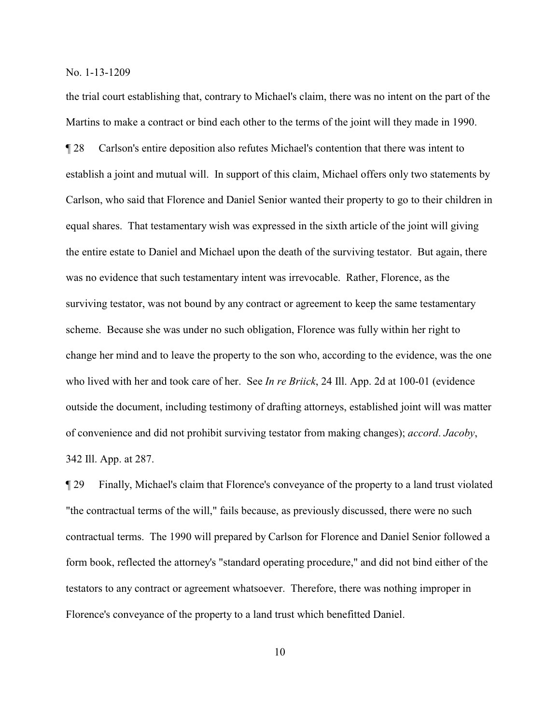the trial court establishing that, contrary to Michael's claim, there was no intent on the part of the Martins to make a contract or bind each other to the terms of the joint will they made in 1990.

¶ 28 Carlson's entire deposition also refutes Michael's contention that there was intent to establish a joint and mutual will. In support of this claim, Michael offers only two statements by Carlson, who said that Florence and Daniel Senior wanted their property to go to their children in equal shares. That testamentary wish was expressed in the sixth article of the joint will giving the entire estate to Daniel and Michael upon the death of the surviving testator. But again, there was no evidence that such testamentary intent was irrevocable. Rather, Florence, as the surviving testator, was not bound by any contract or agreement to keep the same testamentary scheme. Because she was under no such obligation, Florence was fully within her right to change her mind and to leave the property to the son who, according to the evidence, was the one who lived with her and took care of her. See *In re Briick*, 24 Ill. App. 2d at 100-01 (evidence outside the document, including testimony of drafting attorneys, established joint will was matter of convenience and did not prohibit surviving testator from making changes); *accord*. *Jacoby*, 342 Ill. App. at 287.

¶ 29 Finally, Michael's claim that Florence's conveyance of the property to a land trust violated "the contractual terms of the will," fails because, as previously discussed, there were no such contractual terms. The 1990 will prepared by Carlson for Florence and Daniel Senior followed a form book, reflected the attorney's "standard operating procedure," and did not bind either of the testators to any contract or agreement whatsoever. Therefore, there was nothing improper in Florence's conveyance of the property to a land trust which benefitted Daniel.